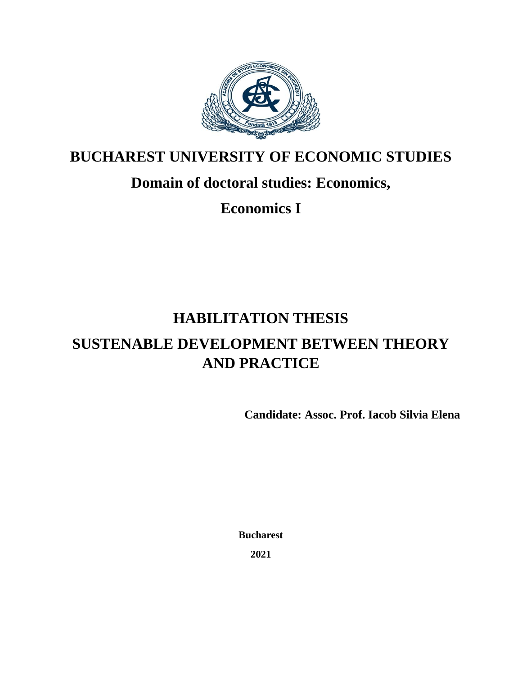

#### **BUCHAREST UNIVERSITY OF ECONOMIC STUDIES**

## **Domain of doctoral studies: Economics,**

**Economics I**

## **HABILITATION THESIS**

# **SUSTENABLE DEVELOPMENT BETWEEN THEORY AND PRACTICE**

**Candidate: Assoc. Prof. Iacob Silvia Elena** 

**Bucharest**

**2021**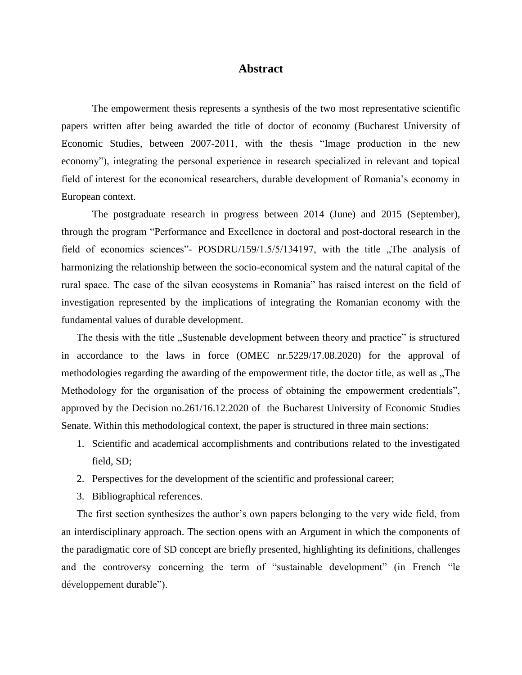#### **Abstract**

The empowerment thesis represents a synthesis of the two most representative scientific papers written after being awarded the title of doctor of economy (Bucharest University of Economic Studies, between 2007-2011, with the thesis "Image production in the new economy"), integrating the personal experience in research specialized in relevant and topical field of interest for the economical researchers, durable development of Romania's economy in European context.

The postgraduate research in progress between 2014 (June) and 2015 (September), through the program "Performance and Excellence in doctoral and post-doctoral research in the field of economics sciences"-  $POSDRU/159/1.5/5/134197$ , with the title "The analysis of harmonizing the relationship between the socio-economical system and the natural capital of the rural space. The case of the silvan ecosystems in Romania" has raised interest on the field of investigation represented by the implications of integrating the Romanian economy with the fundamental values of durable development.

The thesis with the title "Sustenable development between theory and practice" is structured in accordance to the laws in force (OMEC nr.5229/17.08.2020) for the approval of methodologies regarding the awarding of the empowerment title, the doctor title, as well as "The Methodology for the organisation of the process of obtaining the empowerment credentials", approved by the Decision no.261/16.12.2020 of the Bucharest University of Economic Studies Senate. Within this methodological context, the paper is structured in three main sections:

- 1. Scientific and academical accomplishments and contributions related to the investigated field, SD;
- 2. Perspectives for the development of the scientific and professional career;
- 3. Bibliographical references.

The first section synthesizes the author's own papers belonging to the very wide field, from an interdisciplinary approach. The section opens with an Argument in which the components of the paradigmatic core of SD concept are briefly presented, highlighting its definitions, challenges and the controversy concerning the term of "sustainable development" (in French "le développement durable").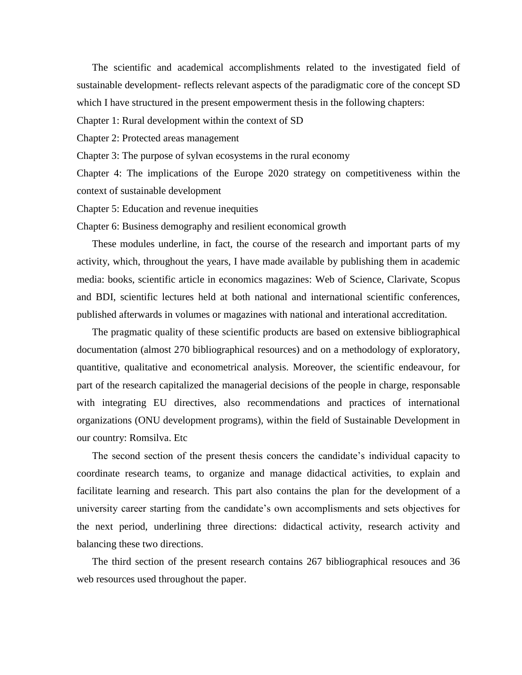The scientific and academical accomplishments related to the investigated field of sustainable development- reflects relevant aspects of the paradigmatic core of the concept SD which I have structured in the present empowerment thesis in the following chapters:

Chapter 1: Rural development within the context of SD

Chapter 2: Protected areas management

Chapter 3: The purpose of sylvan ecosystems in the rural economy

Chapter 4: The implications of the Europe 2020 strategy on competitiveness within the context of sustainable development

Chapter 5: Education and revenue inequities

Chapter 6: Business demography and resilient economical growth

These modules underline, in fact, the course of the research and important parts of my activity, which, throughout the years, I have made available by publishing them in academic media: books, scientific article in economics magazines: Web of Science, Clarivate, Scopus and BDI, scientific lectures held at both national and international scientific conferences, published afterwards in volumes or magazines with national and interational accreditation.

The pragmatic quality of these scientific products are based on extensive bibliographical documentation (almost 270 bibliographical resources) and on a methodology of exploratory, quantitive, qualitative and econometrical analysis. Moreover, the scientific endeavour, for part of the research capitalized the managerial decisions of the people in charge, responsable with integrating EU directives, also recommendations and practices of international organizations (ONU development programs), within the field of Sustainable Development in our country: Romsilva. Etc

The second section of the present thesis concers the candidate's individual capacity to coordinate research teams, to organize and manage didactical activities, to explain and facilitate learning and research. This part also contains the plan for the development of a university career starting from the candidate's own accomplisments and sets objectives for the next period, underlining three directions: didactical activity, research activity and balancing these two directions.

The third section of the present research contains 267 bibliographical resouces and 36 web resources used throughout the paper.